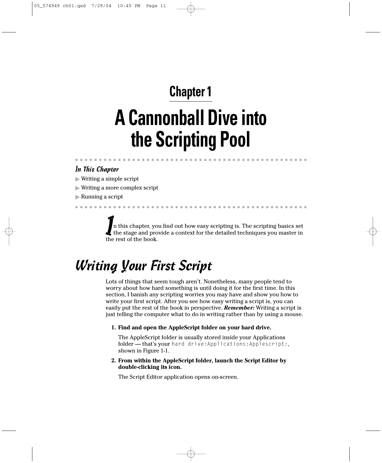#### In This Chapter

- Writing a simple script
- Writing a more complex script
- Running a script

In this chapter, you find out how easy scripting is. The scripting basics set the stage and provide a context for the detailed techniques you master in the rest of the book.

## Writing Your First Script

Lots of things that seem tough aren't. Nonetheless, many people tend to worry about how hard something is until doing it for the first time. In this section, I banish any scripting worries you may have and show you how to write your first script. After you see how easy writing a script is, you can easily put the rest of the book in perspective. *Remember:* Writing a script is just telling the computer what to do in writing rather than by using a mouse.

**1. Find and open the AppleScript folder on your hard drive.**

The AppleScript folder is usually stored inside your Applications folder — that's your hard drive:Applications:Applescript:, shown in Figure 1-1.

**2. From within the AppleScript folder, launch the Script Editor by double-clicking its icon.**

The Script Editor application opens on-screen.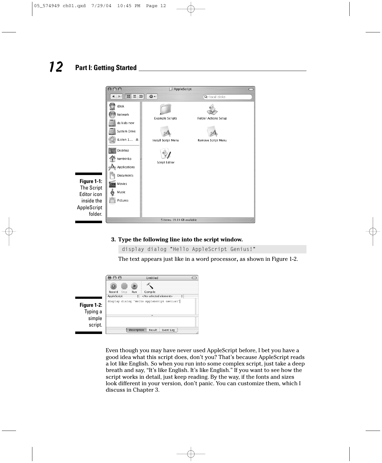

#### **3. Type the following line into the script window.**

display dialog "Hello AppleScript Genius!"

The text appears just like in a word processor**,** as shown in Figure 1-2.



Even though you may have never used AppleScript before, I bet you have a good idea what this script does, don't you? That's because AppleScript reads a lot like English. So when you run into some complex script, just take a deep breath and say, "It's like English. It's like English." If you want to see how the script works in detail, just keep reading. By the way, if the fonts and sizes look different in your version, don't panic. You can customize them, which I discuss in Chapter 3.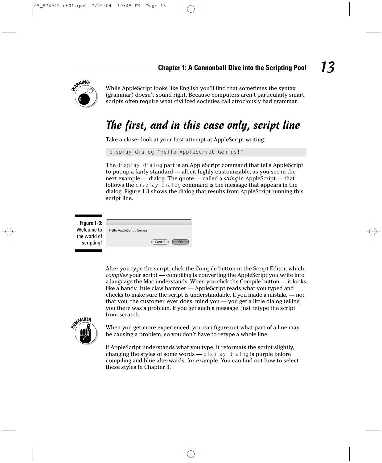

While AppleScript looks like English you'll find that sometimes the syntax (grammar) doesn't sound right. Because computers aren't particularly smart, scripts often require what civilized societies call atrociously bad grammar.

#### The first, and in this case only, script line

Take a closer look at your first attempt at AppleScript writing:

display dialog "Hello AppleScript Genius!"

The display dialog part is an AppleScript command that tells AppleScript to put up a fairly standard — albeit highly customizable, as you see in the next example — dialog. The quote — called a *string* in AppleScript — that follows the display dialog command is the message that appears in the dialog. Figure 1-3 shows the dialog that results from AppleScript running this script line.

**Figure 1-3:** Welcome to the world of scripting!

| Hello AppleScript Genius! |        |  |
|---------------------------|--------|--|
|                           |        |  |
|                           | Cancel |  |
|                           |        |  |

After you type the script, click the Compile button in the Script Editor, which *compiles* your script — compiling is converting the AppleScript you write into a language the Mac understands. When you click the Compile button — it looks like a handy little claw hammer — AppleScript reads what you typed and checks to make sure the script is understandable. If you made a mistake — not that you, the customer, ever does, mind you — you get a little dialog telling you there was a problem. If you get such a message, just retype the script from scratch.



When you get more experienced, you can figure out what part of a line may be causing a problem, so you don't have to retype a whole line.

If AppleScript understands what you type, it reformats the script slightly, changing the styles of some words — display dialog is purple before compiling and blue afterwards, for example. You can find out how to select these styles in Chapter 3.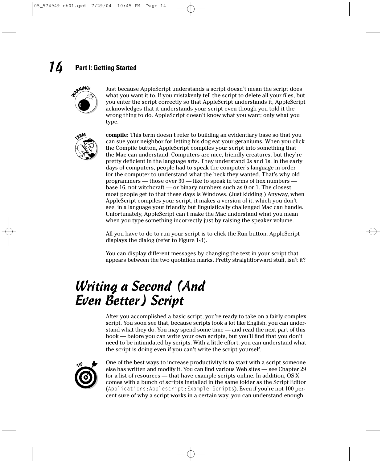

Just because AppleScript understands a script doesn't mean the script does what you want it to. If you mistakenly tell the script to delete all your files, but you enter the script correctly so that AppleScript understands it, AppleScript acknowledges that it understands your script even though you told it the wrong thing to do. AppleScript doesn't know what you want; only what you type.



**compile:** This term doesn't refer to building an evidentiary base so that you can sue your neighbor for letting his dog eat your geraniums. When you click the Compile button, AppleScript compiles your script into something that the Mac can understand. Computers are nice, friendly creatures, but they're pretty deficient in the language arts. They understand 0s and 1s. In the early days of computers, people had to speak the computer's language in order for the computer to understand what the heck they wanted. That's why old programmers — those over 30 — like to speak in terms of hex numbers base 16, not witchcraft — or binary numbers such as 0 or 1. The closest most people get to that these days is Windows. (Just kidding.) Anyway, when AppleScript compiles your script, it makes a version of it, which you don't see, in a language your friendly but linguistically challenged Mac can handle. Unfortunately, AppleScript can't make the Mac understand what you mean when you type something incorrectly just by raising the speaker volume.

All you have to do to run your script is to click the Run button. AppleScript displays the dialog (refer to Figure 1-3).

You can display different messages by changing the text in your script that appears between the two quotation marks. Pretty straightforward stuff, isn't it?

## Writing a Second (And Even Better) Script

After you accomplished a basic script, you're ready to take on a fairly complex script. You soon see that, because scripts look a lot like English, you can understand what they do. You may spend some time — and read the next part of this book — before you can write your own scripts, but you'll find that you don't need to be intimidated by scripts. With a little effort, you can understand what the script is doing even if you can't write the script yourself.



One of the best ways to increase productivity is to start with a script someone else has written and modify it. You can find various Web sites — see Chapter 29 for a list of resources — that have example scripts online. In addition, OS X comes with a bunch of scripts installed in the same folder as the Script Editor (Applications:Applescript:Example Scripts). Even if you're not 100 percent sure of why a script works in a certain way, you can understand enough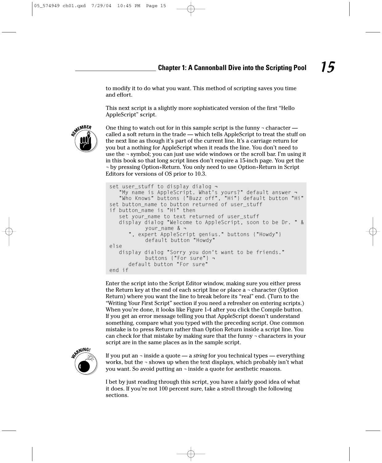to modify it to do what you want. This method of scripting saves you time and effort.

This next script is a slightly more sophisticated version of the first "Hello AppleScript" script.



One thing to watch out for in this sample script is the funny  $\neg$  character called a soft return in the trade — which tells AppleScript to treat the stuff on the next line as though it's part of the current line. It's a carriage return for you but a nothing for AppleScript when it reads the line. You don't need to use the  $\neg$  symbol; you can just use wide windows or the scroll bar. I'm using it in this book so that long script lines don't require a 15-inch page. You get the ¬ by pressing Option+Return. You only need to use Option+Return in Script Editors for versions of OS prior to 10.3.

```
set user_stuff to display dialog ¬
   "My name is AppleScript. What's yours?" default answer ¬
   "Who Knows" buttons {"Buzz off", "Hi"} default button "Hi"
set button_name to button returned of user_stuff
if button_name is "Hi" then
   set your_name to text returned of user_stuff
   display dialog "Welcome to AppleScript, soon to be Dr. " &
           your_name & ¬
       , expert AppleScript genius." buttons {"Howdy"}
           default button "Howdy"
else
   display dialog "Sorry you don't want to be friends."
           buttons {"For sure"} ¬
      default button "For sure"
end if
```
Enter the script into the Script Editor window, making sure you either press the Return key at the end of each script line or place  $a$  - character (Option Return) where you want the line to break before its "real" end. (Turn to the "Writing Your First Script" section if you need a refresher on entering scripts.) When you're done, it looks like Figure 1-4 after you click the Compile button. If you get an error message telling you that AppleScript doesn't understand something, compare what you typed with the preceding script. One common mistake is to press Return rather than Option Return inside a script line. You can check for that mistake by making sure that the funny ¬ characters in your script are in the same places as in the sample script.



If you put an ¬ inside a quote — a *string* for you technical types — everything works, but the  $\neg$  shows up when the text displays, which probably isn't what you want. So avoid putting an ¬ inside a quote for aesthetic reasons.

I bet by just reading through this script, you have a fairly good idea of what it does. If you're not 100 percent sure, take a stroll through the following sections.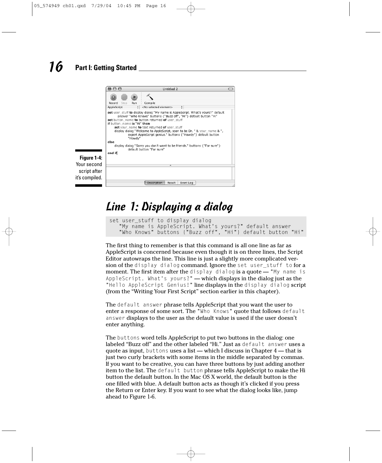

### Line 1: Displaying a dialog

```
set user_stuff to display dialog 
   "My name is AppleScript. What's yours?" default answer 
   "Who Knows" buttons {"Buzz off", "Hi"} default button "Hi"
```
The first thing to remember is that this command is all one line as far as AppleScript is concerned because even though it is on three lines, the Script Editor autowraps the line. This line is just a slightly more complicated version of the display dialog command. Ignore the set user stuff to for a moment. The first item after the display dialog is a quote — "My name is AppleScript. What's yours?" — which displays in the dialog just as the "Hello AppleScript Genius!" line displays in the display dialog script (from the "Writing Your First Script" section earlier in this chapter).

The default answer phrase tells AppleScript that you want the user to enter a response of some sort. The "Who Knows" quote that follows default answer displays to the user as the default value is used if the user doesn't enter anything.

The buttons word tells AppleScript to put two buttons in the dialog: one labeled "Buzz off" and the other labeled "Hi." Just as default answer uses a quote as input, buttons uses a list — which I discuss in Chapter 4 — that is just two curly brackets with some items in the middle separated by commas. If you want to be creative, you can have three buttons by just adding another item to the list. The default button phrase tells AppleScript to make the Hi button the default button. In the Mac OS X world, the default button is the one filled with blue. A default button acts as though it's clicked if you press the Return or Enter key. If you want to see what the dialog looks like, jump ahead to Figure 1-6.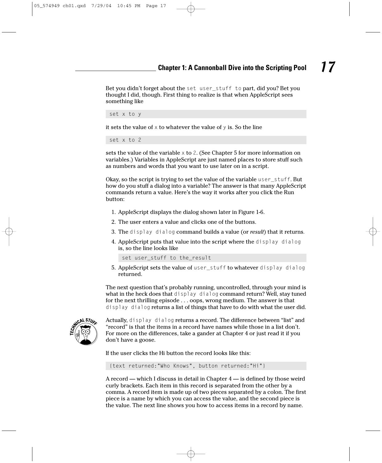Bet you didn't forget about the set user\_stuff to part, did you? Bet you thought I did, though. First thing to realize is that when AppleScript sees something like

set x to y

it sets the value of  $\times$  to whatever the value of  $\times$  is. So the line

set x to 2

sets the value of the variable  $\times$  to 2. (See Chapter 5 for more information on variables.) Variables in AppleScript are just named places to store stuff such as numbers and words that you want to use later on in a script.

Okay, so the script is trying to set the value of the variable user\_stuff. But how do you stuff a dialog into a variable? The answer is that many AppleScript commands return a value. Here's the way it works after you click the Run button:

- 1. AppleScript displays the dialog shown later in Figure 1-6.
- 2. The user enters a value and clicks one of the buttons.
- 3. The display dialog command builds a value (or *result*) that it returns*.*
- 4. AppleScript puts that value into the script where the display dialog is, so the line looks like

set user\_stuff to the\_result

5. AppleScript sets the value of user\_stuff to whatever display dialog returned.

The next question that's probably running, uncontrolled, through your mind is what in the heck does that display dialog command return? Well, stay tuned for the next thrilling episode . . . oops, wrong medium. The answer is that display dialog returns a list of things that have to do with what the user did.



Actually, display dialog returns a record. The difference between "list" and "record" is that the items in a record have names while those in a list don't. For more on the differences, take a gander at Chapter 4 or just read it if you don't have a goose.

If the user clicks the Hi button the record looks like this:

{text returned:"Who Knows", button returned:"Hi"}

A record — which I discuss in detail in Chapter 4 — is defined by those weird curly brackets. Each item in this record is separated from the other by a comma. A record item is made up of two pieces separated by a colon. The first piece is a name by which you can access the value, and the second piece is the value. The next line shows you how to access items in a record by name.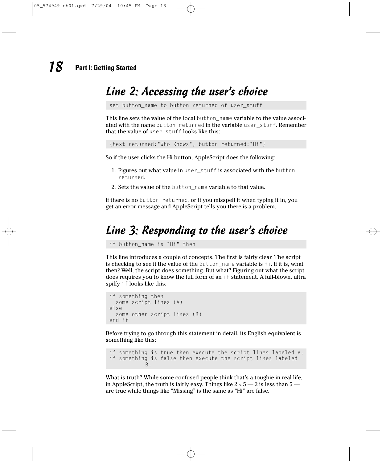#### Line 2: Accessing the user's choice

set button\_name to button returned of user\_stuff

This line sets the value of the local button\_name variable to the value associated with the name button returned in the variable user\_stuff. Remember that the value of user\_stuff looks like this:

{text returned:"Who Knows", button returned:"Hi"}

So if the user clicks the Hi button, AppleScript does the following:

- 1. Figures out what value in user\_stuff is associated with the button returned*.*
- 2. Sets the value of the button\_name variable to that value.

If there is no button returned*,* or if you misspell it when typing it in, you get an error message and AppleScript tells you there is a problem.

### Line 3: Responding to the user's choice

if button\_name is "Hi" then

This line introduces a couple of concepts. The first is fairly clear. The script is checking to see if the value of the button\_name variable is Hi. If it is, what then? Well, the script does something. But what? Figuring out what the script does requires you to know the full form of an if statement. A full-blown, ultra spiffy if looks like this:

```
if something then
  some script lines (A)
else
  some other script lines (B)
end if
```
Before trying to go through this statement in detail, its English equivalent is something like this:

```
if something is true then execute the script lines labeled A. 
if something is false then execute the script lines labeled
           B.
```
What is truth? While some confused people think that's a toughie in real life, in AppleScript, the truth is fairly easy. Things like  $2 < 5 - 2$  is less than  $5$ are true while things like "Missing" is the same as "Hi" are false.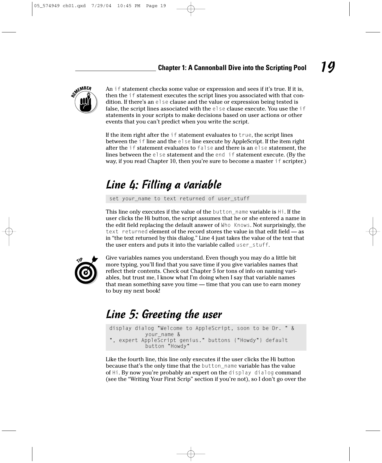

An if statement checks some value or expression and sees if it's true. If it is, then the if statement executes the script lines you associated with that condition. If there's an else clause and the value or expression being tested is false, the script lines associated with the else clause execute. You use the if statements in your scripts to make decisions based on user actions or other events that you can't predict when you write the script.

If the item right after the if statement evaluates to true, the script lines between the if line and the else line execute by AppleScript. If the item right after the if statement evaluates to false and there is an else statement, the lines between the else statement and the end if statement execute. (By the way, if you read Chapter 10, then you're sure to become a master if scripter.)

### Line 4: Filling a variable

set your\_name to text returned of user\_stuff

This line only executes if the value of the button\_name variable is Hi. If the user clicks the Hi button, the script assumes that he or she entered a name in the edit field replacing the default answer of Who Knows. Not surprisingly, the text returned element of the record stores the value in that edit field — as in "the text returned by this dialog." Line 4 just takes the value of the text that the user enters and puts it into the variable called user\_stuff.



Give variables names you understand. Even though you may do a little bit more typing, you'll find that you save time if you give variables names that reflect their contents. Check out Chapter 5 for tons of info on naming variables, but trust me, I know what I'm doing when I say that variable names that mean something save you time — time that you can use to earn money to buy my next book!

### Line 5: Greeting the user

display dialog "Welcome to AppleScript, soon to be Dr. " & your\_name & ", expert AppleScript genius." buttons {"Howdy"} default button "Howdy"

Like the fourth line, this line only executes if the user clicks the Hi button because that's the only time that the button\_name variable has the value of Hi. By now you're probably an expert on the display dialog command (see the "Writing Your First Scrip" section if you're not), so I don't go over the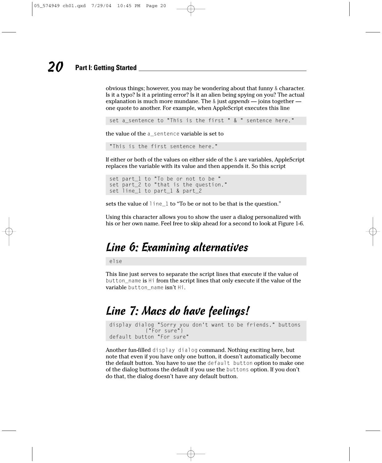obvious things; however, you may be wondering about that funny & character. Is it a typo? Is it a printing error? Is it an alien being spying on you? The actual explanation is much more mundane. The & just *appends* — joins together one quote to another. For example, when AppleScript executes this line

```
set a_sentence to "This is the first " & " sentence here."
```
the value of the a\_sentence variable is set to

```
"This is the first sentence here."
```
If either or both of the values on either side of the & are variables, AppleScript replaces the variable with its value and then appends it. So this script

```
set part_1 to "To be or not to be "
set part<sup>2</sup> to "that is the question."
set line_1 to part_1 & part_2
```
sets the value of line\_1 to "To be or not to be that is the question."

Using this character allows you to show the user a dialog personalized with his or her own name. Feel free to skip ahead for a second to look at Figure 1-6.

## Line 6: Examining alternatives

else

This line just serves to separate the script lines that execute if the value of button\_name is Hi from the script lines that only execute if the value of the variable button\_name isn't Hi.

### Line 7: Macs do have feelings!

display dialog "Sorry you don't want to be friends." buttons {"For sure"} default button "For sure"

Another fun-filled display dialog command. Nothing exciting here, but note that even if you have only one button, it doesn't automatically become the default button. You have to use the default button option to make one of the dialog buttons the default if you use the buttons option. If you don't do that, the dialog doesn't have any default button.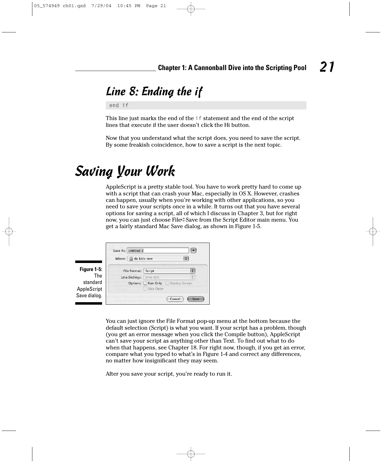### Line 8: Ending the if

end if

This line just marks the end of the if statement and the end of the script lines that execute if the user doesn't click the Hi button.

Now that you understand what the script does, you need to save the script. By some freakish coincidence, how to save a script is the next topic.

## Saving Your Work

AppleScript is a pretty stable tool. You have to work pretty hard to come up with a script that can crash your Mac, especially in OS X. However, crashes can happen, usually when you're working with other applications, so you need to save your scripts once in a while. It turns out that you have several options for saving a script, all of which I discuss in Chapter 3, but for right now, you can just choose File<sup>⊥</sup>Save from the Script Editor main menu. You get a fairly standard Mac Save dialog, as shown in Figure 1-5.

|              | Save As: Untitled 2 |                                  |      |
|--------------|---------------------|----------------------------------|------|
|              | Where: da kids new  |                                  |      |
| Figure 1-5:  | File Format: Script |                                  |      |
| The          | Line Endings:       | Unix (LF)                        |      |
| standard     |                     | Options: Run Only Startup Screen |      |
| AppleScript  |                     | Stay Open                        |      |
| Save dialog. |                     | Cancel                           | Save |

You can just ignore the File Format pop-up menu at the bottom because the default selection (Script) is what you want. If your script has a problem, though (you get an error message when you click the Compile button), AppleScript can't save your script as anything other than Text. To find out what to do when that happens, see Chapter 18. For right now, though, if you get an error, compare what you typed to what's in Figure 1-4 and correct any differences, no matter how insignificant they may seem.

After you save your script, you're ready to run it.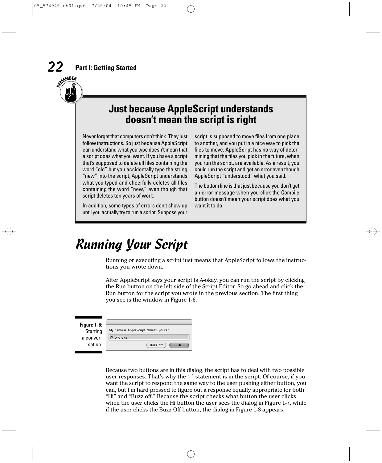

## **Just because AppleScript understands doesn't mean the script is right**

Never forget that computers don't think. They just follow instructions. So just because AppleScript can understand what you type doesn't mean that a script does what you want. If you have a script that's supposed to delete all files containing the word "old" but you accidentally type the string "new" into the script, AppleScript understands what you typed and cheerfully deletes all files containing the word "new," even though that script deletes ten years of work.

In addition, some types of errors don't show up until you actually try to run a script. Suppose your

script is supposed to move files from one place to another, and you put in a nice way to pick the files to move. AppleScript has no way of determining that the files you pick in the future, when you run the script, are available. As a result, you could run the script and get an error even though AppleScript "understood" what you said.

The bottom line is that just because you don't get an error message when you click the Compile button doesn't mean your script does what you want it to do.

## Running Your Script

Running or executing a script just means that AppleScript follows the instructions you wrote down.

After AppleScript says your script is A-okay, you can run the script by clicking the Run button on the left side of the Script Editor. So go ahead and click the Run button for the script you wrote in the previous section. The first thing you see is the window in Figure 1-6.

| Figure 1-6:     |                                       |
|-----------------|---------------------------------------|
| <b>Starting</b> | My name is AppleScript. What's yours? |
| a conver-       | Who Knows                             |
| sation.         | Buzz off                              |

Because two buttons are in this dialog, the script has to deal with two possible user responses. That's why the if statement is in the script. Of course, if you want the script to respond the same way to the user pushing either button, you can, but I'm hard pressed to figure out a response equally appropriate for both "Hi" and "Buzz off." Because the script checks what button the user clicks, when the user clicks the Hi button the user sees the dialog in Figure 1-7, while if the user clicks the Buzz Off button, the dialog in Figure 1-8 appears.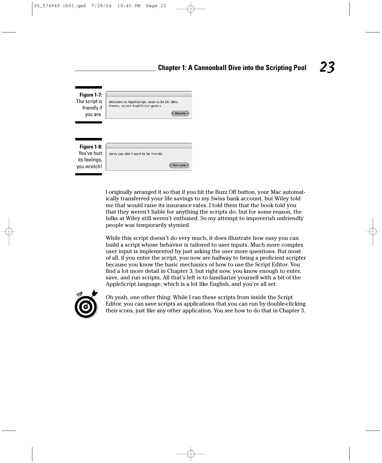

I originally arranged it so that if you hit the Buzz Off button, your Mac automatically transferred your life savings to my Swiss bank account, but Wiley told me that would raise its insurance rates. I told them that the book told you that they weren't liable for anything the scripts do, but for some reason, the folks at Wiley still weren't enthused. So my attempt to impoverish unfriendly people was temporarily stymied.

While this script doesn't do very much, it does illustrate how easy you can build a script whose behavior is tailored to user inputs. Much more complex user input is implemented by just asking the user more questions. But most of all, if you enter the script, you now are halfway to being a proficient scripter because you know the basic mechanics of how to use the Script Editor. You find a lot more detail in Chapter 3, but right now, you know enough to enter, save, and run scripts. All that's left is to familiarize yourself with a bit of the AppleScript language, which is a lot like English, and you're all set.



Oh yeah, one other thing: While I ran these scripts from inside the Script Editor, you can save scripts as applications that you can run by double-clicking their icons, just like any other application. You see how to do that in Chapter 3.